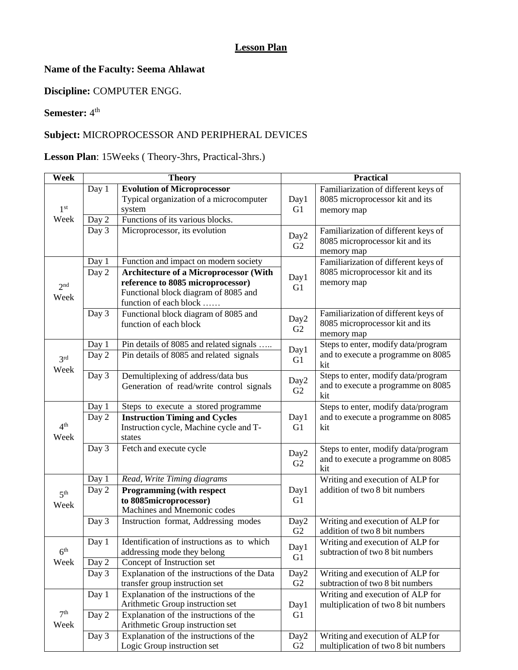### **Lesson Plan**

### **Name of the Faculty: Seema Ahlawat**

**Discipline:** COMPUTER ENGG.

#### **Semester:**  $4^{\text{th}}$

## **Subject:** MICROPROCESSOR AND PERIPHERAL DEVICES

# **Lesson Plan**: 15Weeks ( Theory-3hrs, Practical-3hrs.)

| <b>Week</b>     |       | <b>Theory</b>                                 |                        | <b>Practical</b>                                                  |
|-----------------|-------|-----------------------------------------------|------------------------|-------------------------------------------------------------------|
|                 | Day 1 | <b>Evolution of Microprocessor</b>            |                        | Familiarization of different keys of                              |
|                 |       | Typical organization of a microcomputer       | Day1                   | 8085 microprocessor kit and its                                   |
| 1 <sup>st</sup> |       | system                                        | G <sub>1</sub>         | memory map                                                        |
| Week            | Day 2 | Functions of its various blocks.              |                        |                                                                   |
|                 | Day 3 | Microprocessor, its evolution                 | Day2                   | Familiarization of different keys of                              |
|                 |       |                                               | G2                     | 8085 microprocessor kit and its                                   |
|                 |       |                                               |                        | memory map                                                        |
|                 | Day 1 | Function and impact on modern society         |                        | Familiarization of different keys of                              |
|                 | Day 2 | <b>Architecture of a Microprocessor (With</b> | Day1                   | 8085 microprocessor kit and its                                   |
| 2 <sup>nd</sup> |       | reference to 8085 microprocessor)             | G <sub>1</sub>         | memory map                                                        |
| Week            |       | Functional block diagram of 8085 and          |                        |                                                                   |
|                 |       | function of each block                        |                        |                                                                   |
|                 | Day 3 | Functional block diagram of 8085 and          | Day2                   | Familiarization of different keys of                              |
|                 |       | function of each block                        | G <sub>2</sub>         | 8085 microprocessor kit and its<br>memory map                     |
|                 | Day 1 | Pin details of 8085 and related signals       |                        | Steps to enter, modify data/program                               |
|                 | Day 2 | Pin details of 8085 and related signals       | Day1                   | and to execute a programme on 8085                                |
| 3 <sup>rd</sup> |       |                                               | G <sub>1</sub>         | kit                                                               |
| Week            | Day 3 | Demultiplexing of address/data bus            |                        | Steps to enter, modify data/program                               |
|                 |       | Generation of read/write control signals      | Day2                   | and to execute a programme on 8085                                |
|                 |       |                                               | G2                     | kit                                                               |
|                 | Day 1 | Steps to execute a stored programme           |                        | Steps to enter, modify data/program                               |
|                 | Day 2 | <b>Instruction Timing and Cycles</b>          | Day1                   | and to execute a programme on 8085                                |
| 4 <sup>th</sup> |       | Instruction cycle, Machine cycle and T-       | G <sub>1</sub>         | kit                                                               |
| Week            |       | states                                        |                        |                                                                   |
|                 | Day 3 | Fetch and execute cycle                       | Day2                   | Steps to enter, modify data/program                               |
|                 |       |                                               | G <sub>2</sub>         | and to execute a programme on 8085                                |
|                 |       |                                               |                        | kit                                                               |
|                 | Day 1 | Read, Write Timing diagrams                   |                        | Writing and execution of ALP for                                  |
| 5 <sup>th</sup> | Day 2 | <b>Programming (with respect</b>              | Day1                   | addition of two 8 bit numbers                                     |
| Week            |       | to 8085microprocessor)                        | G <sub>1</sub>         |                                                                   |
|                 |       | Machines and Mnemonic codes                   |                        |                                                                   |
|                 | Day 3 | Instruction format, Addressing modes          | Day2<br>G <sub>2</sub> | Writing and execution of ALP for<br>addition of two 8 bit numbers |
|                 | Day 1 | Identification of instructions as to which    |                        | Writing and execution of ALP for                                  |
| 6 <sup>th</sup> |       | addressing mode they belong                   | Day1                   | subtraction of two 8 bit numbers                                  |
| Week            | Day 2 | Concept of Instruction set                    | G <sub>1</sub>         |                                                                   |
|                 | Day 3 | Explanation of the instructions of the Data   | Day2                   | Writing and execution of ALP for                                  |
|                 |       | transfer group instruction set                | G <sub>2</sub>         | subtraction of two 8 bit numbers                                  |
|                 | Day 1 | Explanation of the instructions of the        |                        | Writing and execution of ALP for                                  |
|                 |       | Arithmetic Group instruction set              | Day1                   | multiplication of two 8 bit numbers                               |
| 7 <sup>th</sup> | Day 2 | Explanation of the instructions of the        | G1                     |                                                                   |
| Week            |       | Arithmetic Group instruction set              |                        |                                                                   |
|                 | Day 3 | Explanation of the instructions of the        | Day2                   | Writing and execution of ALP for                                  |
|                 |       | Logic Group instruction set                   | G <sub>2</sub>         | multiplication of two 8 bit numbers                               |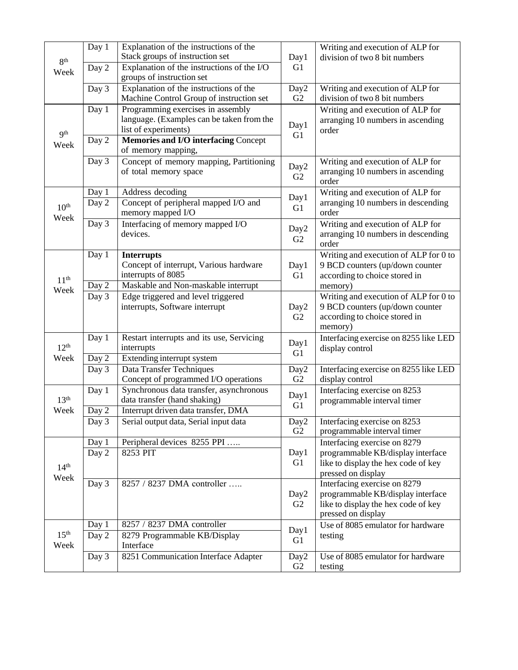|                  | Day 1              | Explanation of the instructions of the                               |                  | Writing and execution of ALP for                                         |
|------------------|--------------------|----------------------------------------------------------------------|------------------|--------------------------------------------------------------------------|
|                  |                    | Stack groups of instruction set                                      | Day1             | division of two 8 bit numbers                                            |
| 8 <sup>th</sup>  | Day 2              | Explanation of the instructions of the I/O                           | G1               |                                                                          |
| Week             |                    | groups of instruction set                                            |                  |                                                                          |
|                  | Day 3              | Explanation of the instructions of the                               | Day2             | Writing and execution of ALP for                                         |
|                  |                    | Machine Control Group of instruction set                             | G2               | division of two 8 bit numbers                                            |
|                  | Day 1              | Programming exercises in assembly                                    |                  | Writing and execution of ALP for                                         |
|                  |                    | language. (Examples can be taken from the                            |                  | arranging 10 numbers in ascending                                        |
| Q <sup>th</sup>  |                    | list of experiments)                                                 | Day1<br>G1       | order                                                                    |
| Week             | Day 2              | Memories and I/O interfacing Concept                                 |                  |                                                                          |
|                  |                    | of memory mapping,                                                   |                  |                                                                          |
|                  | Day 3              | Concept of memory mapping, Partitioning                              | Day2             | Writing and execution of ALP for                                         |
|                  |                    | of total memory space                                                | G2               | arranging 10 numbers in ascending                                        |
|                  |                    |                                                                      |                  | order                                                                    |
|                  | Day 1              | Address decoding                                                     | Day1             | Writing and execution of ALP for                                         |
| 10 <sup>th</sup> | Day 2              | Concept of peripheral mapped I/O and                                 | G1               | arranging 10 numbers in descending                                       |
| Week             |                    | memory mapped I/O                                                    |                  | order                                                                    |
|                  | Day 3              | Interfacing of memory mapped I/O                                     | Day2             | Writing and execution of ALP for                                         |
|                  |                    | devices.                                                             | G2               | arranging 10 numbers in descending                                       |
|                  |                    |                                                                      |                  | order                                                                    |
|                  | Day 1              | <b>Interrupts</b>                                                    |                  | Writing and execution of ALP for 0 to                                    |
|                  |                    | Concept of interrupt, Various hardware                               | Day1             | 9 BCD counters (up/down counter                                          |
| 11 <sup>th</sup> |                    | interrupts of 8085<br>Maskable and Non-maskable interrupt            | G1               | according to choice stored in                                            |
| Week             | Day $\overline{2}$ |                                                                      |                  | memory)                                                                  |
|                  | Day 3              | Edge triggered and level triggered<br>interrupts, Software interrupt |                  | Writing and execution of ALP for 0 to<br>9 BCD counters (up/down counter |
|                  |                    |                                                                      | Day2<br>G2       | according to choice stored in                                            |
|                  |                    |                                                                      |                  | memory)                                                                  |
|                  | Day 1              | Restart interrupts and its use, Servicing                            |                  | Interfacing exercise on 8255 like LED                                    |
| 12 <sup>th</sup> |                    | interrupts                                                           | Day1             | display control                                                          |
| Week             | Day 2              | Extending interrupt system                                           | G <sub>1</sub>   |                                                                          |
|                  | Day 3              | Data Transfer Techniques                                             | Day2             | Interfacing exercise on 8255 like LED                                    |
|                  |                    | Concept of programmed I/O operations                                 | G2               | display control                                                          |
|                  | Day 1              | Synchronous data transfer, asynchronous                              |                  | Interfacing exercise on 8253                                             |
| 13 <sup>th</sup> |                    | data transfer (hand shaking)                                         | Day1<br>G1       | programmable interval timer                                              |
| Week             | Day 2              | Interrupt driven data transfer, DMA                                  |                  |                                                                          |
|                  | Day 3              | Serial output data, Serial input data                                | Day <sub>2</sub> | Interfacing exercise on 8253                                             |
|                  |                    |                                                                      | G <sub>2</sub>   | programmable interval timer                                              |
|                  | Day 1              | Peripheral devices 8255 PPI                                          |                  | Interfacing exercise on 8279                                             |
|                  | Day 2              | 8253 PIT                                                             | Day1             | programmable KB/display interface                                        |
| 14 <sup>th</sup> |                    |                                                                      | G <sub>1</sub>   | like to display the hex code of key                                      |
| Week             |                    |                                                                      |                  | pressed on display                                                       |
|                  | Day 3              | 8257 / 8237 DMA controller                                           |                  | Interfacing exercise on 8279                                             |
|                  |                    |                                                                      | Day <sub>2</sub> | programmable KB/display interface                                        |
|                  |                    |                                                                      | G <sub>2</sub>   | like to display the hex code of key                                      |
|                  |                    |                                                                      |                  | pressed on display                                                       |
| 15 <sup>th</sup> | Day 1              | 8257 / 8237 DMA controller                                           | Day1             | Use of 8085 emulator for hardware                                        |
| Week             | Day 2              | 8279 Programmable KB/Display<br>Interface                            | G <sub>1</sub>   | testing                                                                  |
|                  | Day 3              | 8251 Communication Interface Adapter                                 | Day2             | Use of 8085 emulator for hardware                                        |
|                  |                    |                                                                      | G <sub>2</sub>   | testing                                                                  |
|                  |                    |                                                                      |                  |                                                                          |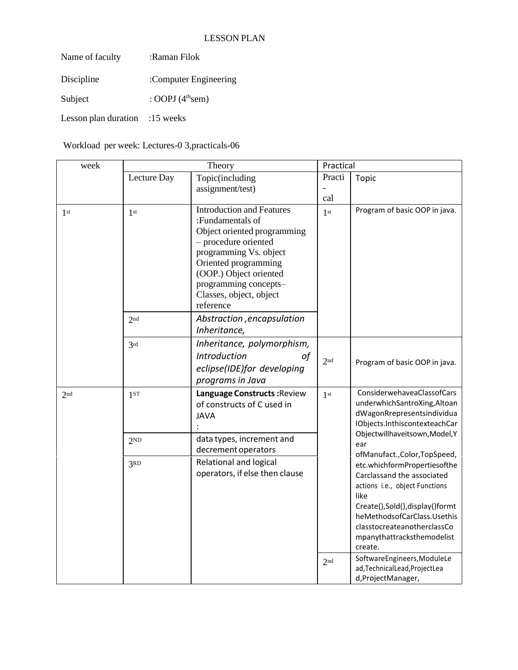| Name of faculty      | :Raman Filok                  |
|----------------------|-------------------------------|
| Discipline           | :Computer Engineering         |
| Subject              | : OOPJ $(4^{\text{th}})$ sem) |
| Lesson plan duration | $:15$ weeks                   |

Workload per week: Lectures-0 3,practicals-06

| week            |                 | Theory                                                                                                                                                                                                                                                   | Practical                       |                                                                                                                                                                                                                            |
|-----------------|-----------------|----------------------------------------------------------------------------------------------------------------------------------------------------------------------------------------------------------------------------------------------------------|---------------------------------|----------------------------------------------------------------------------------------------------------------------------------------------------------------------------------------------------------------------------|
|                 | Lecture Day     | Topic(including<br>assignment/test)                                                                                                                                                                                                                      | Practi<br>$\overline{a}$<br>cal | Topic                                                                                                                                                                                                                      |
| 1 <sup>st</sup> | 1 <sup>st</sup> | <b>Introduction and Features</b><br>:Fundamentals of<br>Object oriented programming<br>- procedure oriented<br>programming Vs. object<br>Oriented programming<br>(OOP.) Object oriented<br>programming concepts-<br>Classes, object, object<br>reference | 1 <sup>st</sup>                 | Program of basic OOP in java.                                                                                                                                                                                              |
|                 | 2 <sub>nd</sub> | Abstraction, encapsulation<br>Inheritance,                                                                                                                                                                                                               |                                 |                                                                                                                                                                                                                            |
|                 | 3rd             | Inheritance, polymorphism,<br>Introduction<br>of<br>eclipse(IDE)for developing<br>programs in Java                                                                                                                                                       | 2 <sub>nd</sub>                 | Program of basic OOP in java.                                                                                                                                                                                              |
| 2nd             | 1 <sub>ST</sub> | Language Constructs: Review<br>of constructs of C used in<br><b>JAVA</b>                                                                                                                                                                                 | 1 <sup>st</sup>                 | ConsiderwehaveaClassofCars<br>underwhichSantroXing,Altoan<br>dWagonRrepresentsindividua<br>IObjects.InthiscontexteachCar                                                                                                   |
|                 | 2 <sub>ND</sub> | data types, increment and<br>decrement operators                                                                                                                                                                                                         |                                 | Objectwillhaveitsown, Model, Y<br>ear<br>ofManufact., Color, TopSpeed,                                                                                                                                                     |
|                 | 3RD             | Relational and logical<br>operators, if else then clause                                                                                                                                                                                                 | like<br>create.                 | etc.whichformPropertiesofthe<br>Carclassand the associated<br>actions i.e., object Functions<br>Create(),Sold(),display()formt<br>heMethodsofCarClass.Usethis<br>classtocreateanotherclassCo<br>mpanythattracksthemodelist |
|                 |                 |                                                                                                                                                                                                                                                          | 2 <sub>nd</sub>                 | SoftwareEngineers, ModuleLe<br>ad, Technical Lead, Project Lea<br>d,ProjectManager,                                                                                                                                        |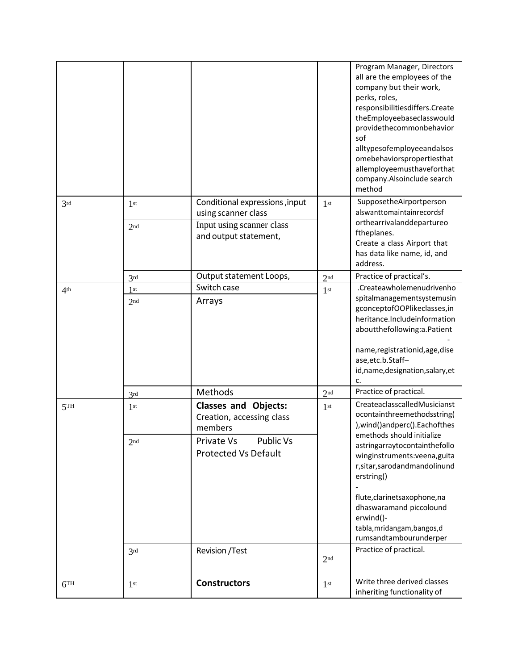|                 |                                    |                                                                                                             |                 | Program Manager, Directors<br>all are the employees of the<br>company but their work,<br>perks, roles,<br>responsibilitiesdiffers.Create<br>theEmployeebaseclasswould<br>providethecommonbehavior<br>sof<br>alltypesofemployeeandalsos<br>omebehaviorspropertiesthat<br>allemployeemusthaveforthat<br>company.Alsoinclude search<br>method |
|-----------------|------------------------------------|-------------------------------------------------------------------------------------------------------------|-----------------|--------------------------------------------------------------------------------------------------------------------------------------------------------------------------------------------------------------------------------------------------------------------------------------------------------------------------------------------|
| 3rd             | 1 <sup>st</sup><br>2 <sub>nd</sub> | Conditional expressions, input<br>using scanner class<br>Input using scanner class<br>and output statement, | 1 <sup>st</sup> | SupposetheAirportperson<br>alswanttomaintainrecordsf<br>orthearrivalanddepartureo<br>ftheplanes.<br>Create a class Airport that<br>has data like name, id, and<br>address.                                                                                                                                                                 |
|                 | 2rd                                | Output statement Loops,                                                                                     | 2 <sub>nd</sub> | Practice of practical's.                                                                                                                                                                                                                                                                                                                   |
| 4 <sup>th</sup> | 1st<br>2 <sub>nd</sub>             | Switch case<br>Arrays                                                                                       | 1 <sup>st</sup> | .Createawholemenudrivenho<br>spitalmanagementsystemusin<br>gconceptofOOPlikeclasses,in<br>heritance.Includeinformation<br>aboutthefollowing:a.Patient<br>name, registrationid, age, dise<br>ase, etc.b.Staff-<br>id, name, designation, salary, et<br>c.                                                                                   |
|                 | 3rd                                | Methods                                                                                                     | 2 <sub>nd</sub> | Practice of practical.                                                                                                                                                                                                                                                                                                                     |
| 5TH             | 1 <sup>st</sup><br>2 <sub>nd</sub> | <b>Classes and Objects:</b><br>Creation, accessing class<br>members<br>Private Vs<br><b>Public Vs</b>       | 1 <sup>st</sup> | CreateaclasscalledMusicianst<br>ocontainthreemethodsstring(<br>), wind() and perc(). Each of thes<br>emethods should initialize                                                                                                                                                                                                            |
|                 | 3rd                                | <b>Protected Vs Default</b><br><b>Revision</b> / Test                                                       | 2 <sub>nd</sub> | astringarraytocontainthefollo<br>winginstruments:veena,guita<br>r, sitar, sarodand mandolinund<br>erstring()<br>flute, clarinets axophone, na<br>dhaswaramand piccolound<br>erwind()-<br>tabla, mridangam, bangos, d<br>rumsandtambourunderper<br>Practice of practical.                                                                   |
|                 |                                    |                                                                                                             |                 |                                                                                                                                                                                                                                                                                                                                            |
| 6TH             | 1 <sup>st</sup>                    | <b>Constructors</b>                                                                                         | 1 <sup>st</sup> | Write three derived classes<br>inheriting functionality of                                                                                                                                                                                                                                                                                 |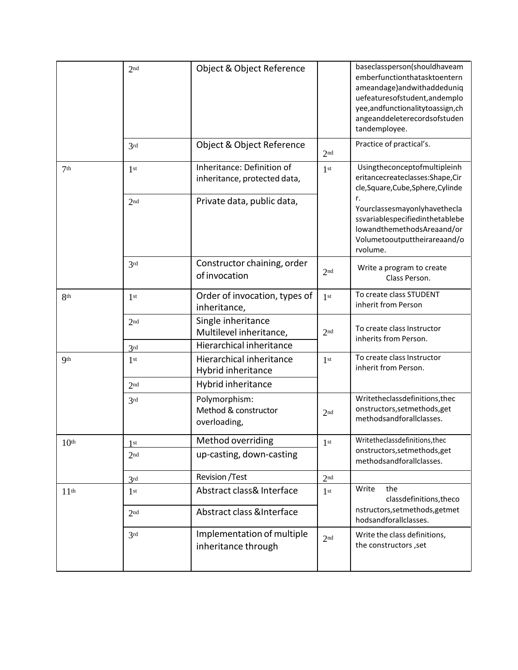|                  | 2 <sub>nd</sub> | Object & Object Reference                                  |                 | baseclassperson(shouldhaveam<br>emberfunctionthatasktoentern<br>ameandage) and with addeduniq<br>uefeaturesofstudent, andemplo<br>yee,andfunctionalitytoassign,ch<br>angeanddeleterecordsofstuden<br>tandemployee. |
|------------------|-----------------|------------------------------------------------------------|-----------------|--------------------------------------------------------------------------------------------------------------------------------------------------------------------------------------------------------------------|
|                  | 3rd             | Object & Object Reference                                  | 2 <sub>nd</sub> | Practice of practical's.                                                                                                                                                                                           |
| 7 <sup>th</sup>  | 1st             | Inheritance: Definition of<br>inheritance, protected data, | 1 <sup>st</sup> | Usingtheconceptofmultipleinh<br>eritancecreateclasses:Shape,Cir<br>cle, Square, Cube, Sphere, Cylinde                                                                                                              |
|                  | 2 <sub>nd</sub> | Private data, public data,                                 |                 | r.<br>Yourclassesmayonlyhavethecla<br>ssvariablespecifiedinthetablebe<br>lowandthemethodsAreaand/or<br>Volumetooutputtheirareaand/o<br>rvolume.                                                                    |
|                  | 3rd             | Constructor chaining, order<br>of invocation               | 2 <sup>nd</sup> | Write a program to create<br>Class Person.                                                                                                                                                                         |
| 8th              | 1 <sup>st</sup> | Order of invocation, types of<br>inheritance,              | 1 <sup>st</sup> | To create class STUDENT<br>inherit from Person                                                                                                                                                                     |
|                  | 2 <sub>nd</sub> | Single inheritance<br>Multilevel inheritance,              | 2 <sub>nd</sub> | To create class Instructor<br>inherits from Person.                                                                                                                                                                |
|                  | 3rd             | Hierarchical inheritance                                   |                 |                                                                                                                                                                                                                    |
| <b>Qth</b>       | 1 <sup>st</sup> | Hierarchical inheritance<br>Hybrid inheritance             | 1 <sup>st</sup> | To create class Instructor<br>inherit from Person.                                                                                                                                                                 |
|                  | 2 <sub>nd</sub> | Hybrid inheritance                                         |                 |                                                                                                                                                                                                                    |
|                  | 3rd             | Polymorphism:<br>Method & constructor<br>overloading,      | 2 <sub>nd</sub> | Writetheclassdefinitions, thec<br>onstructors, setmethods, get<br>methodsandforallclasses.                                                                                                                         |
| 10 <sup>th</sup> | st              | Method overriding                                          | 1 <sup>st</sup> | Writetheclassdefinitions, thec                                                                                                                                                                                     |
|                  | 2 <sub>nd</sub> | up-casting, down-casting                                   |                 | onstructors, setmethods, get<br>methodsandforallclasses.                                                                                                                                                           |
|                  | 3rd             | Revision / Test                                            | 2 <sub>nd</sub> |                                                                                                                                                                                                                    |
| 11 <sup>th</sup> | 1 <sup>st</sup> | Abstract class& Interface                                  | 1 <sup>st</sup> | the<br>Write<br>classdefinitions, the co                                                                                                                                                                           |
|                  | 2 <sub>nd</sub> | Abstract class & Interface                                 |                 | nstructors, setmethods, getmet<br>hodsandforallclasses.                                                                                                                                                            |
|                  | 3rd             | Implementation of multiple<br>inheritance through          | 2 <sub>nd</sub> | Write the class definitions,<br>the constructors, set                                                                                                                                                              |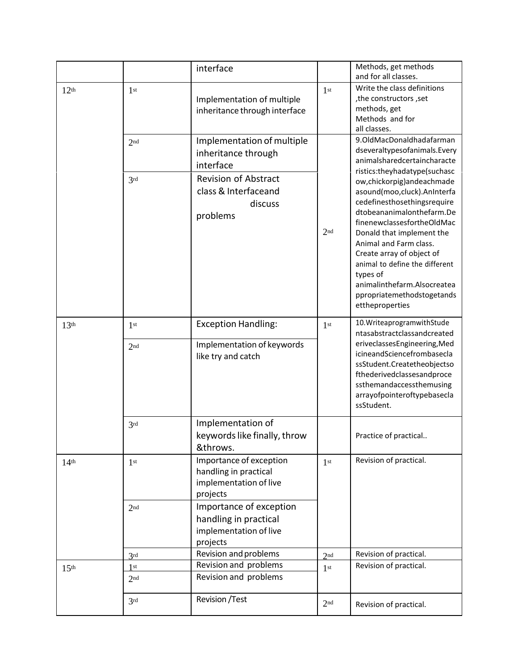|                  |                                    | interface                                                                                                                                                       |                 | Methods, get methods<br>and for all classes.                                                                                                                                                                                                                                                                                                                         |
|------------------|------------------------------------|-----------------------------------------------------------------------------------------------------------------------------------------------------------------|-----------------|----------------------------------------------------------------------------------------------------------------------------------------------------------------------------------------------------------------------------------------------------------------------------------------------------------------------------------------------------------------------|
| 12 <sup>th</sup> | 1 <sup>st</sup>                    | Implementation of multiple<br>inheritance through interface                                                                                                     | 1 <sup>st</sup> | Write the class definitions<br>, the constructors, set<br>methods, get<br>Methods and for<br>all classes.                                                                                                                                                                                                                                                            |
|                  | 2 <sub>nd</sub>                    | Implementation of multiple<br>inheritance through<br>interface<br><b>Revision of Abstract</b><br>class & Interfaceand<br>discuss<br>problems<br>2 <sub>nd</sub> |                 | 9.OldMacDonaldhadafarman<br>dseveraltypesofanimals.Every<br>animalsharedcertaincharacte<br>ristics:theyhadatype(suchasc                                                                                                                                                                                                                                              |
|                  | 3rd                                |                                                                                                                                                                 |                 | ow,chickorpig)andeachmade<br>asound(moo,cluck).AnInterfa<br>cedefinesthosethingsrequire<br>dtobeananimalonthefarm.De<br>finenewclassesfortheOldMac<br>Donald that implement the<br>Animal and Farm class.<br>Create array of object of<br>animal to define the different<br>types of<br>animalinthefarm.Alsocreatea<br>ppropriatemethodstogetands<br>ettheproperties |
| 13 <sup>th</sup> | 1 <sup>st</sup><br>2 <sub>nd</sub> | <b>Exception Handling:</b><br>Implementation of keywords<br>like try and catch                                                                                  | 1 <sup>st</sup> | 10. Writeaprogramwith Stude<br>ntasabstractclassandcreated<br>eriveclassesEngineering, Med<br>icineandSciencefrombasecla<br>ssStudent.Createtheobjectso<br>fthederivedclassesandproce<br>ssthemandaccessthemusing<br>arrayofpointeroftypebasecla<br>ssStudent.                                                                                                       |
|                  | 3rd                                | Implementation of<br>keywords like finally, throw<br>&throws.                                                                                                   |                 | Practice of practical                                                                                                                                                                                                                                                                                                                                                |
| 14 <sup>th</sup> | 1 <sup>st</sup>                    | Importance of exception<br>handling in practical<br>implementation of live<br>projects                                                                          | 1 <sup>st</sup> | Revision of practical.                                                                                                                                                                                                                                                                                                                                               |
|                  | 2 <sub>nd</sub>                    | Importance of exception<br>handling in practical<br>implementation of live<br>projects                                                                          |                 |                                                                                                                                                                                                                                                                                                                                                                      |
|                  | 2rd                                | Revision and problems                                                                                                                                           | 2 <sub>nd</sub> | Revision of practical.                                                                                                                                                                                                                                                                                                                                               |
| 15 <sup>th</sup> | 1st                                | Revision and problems                                                                                                                                           | 1 <sup>st</sup> | Revision of practical.                                                                                                                                                                                                                                                                                                                                               |
|                  | 2nd                                | Revision and problems                                                                                                                                           |                 |                                                                                                                                                                                                                                                                                                                                                                      |
|                  | 3rd                                | Revision / Test                                                                                                                                                 | 2 <sub>nd</sub> | Revision of practical.                                                                                                                                                                                                                                                                                                                                               |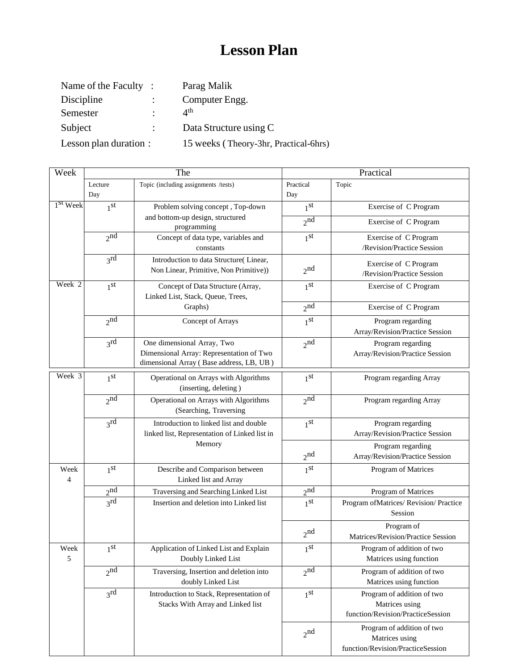# **Lesson Plan**

| Name of the Faculty:   |   | Parag Malik                           |
|------------------------|---|---------------------------------------|
| Discipline             |   | Computer Engg.                        |
| Semester               | ٠ | $\Lambda$ <sup>th</sup>               |
| Subject                |   | Data Structure using C                |
| Lesson plan duration : |   | 15 weeks (Theory-3hr, Practical-6hrs) |

| Week              |                     | The                                                                                                                |                     | Practical                                                                         |
|-------------------|---------------------|--------------------------------------------------------------------------------------------------------------------|---------------------|-----------------------------------------------------------------------------------|
|                   | Lecture<br>Day      | Topic (including assignments /tests)                                                                               | Practical<br>Day    | Topic                                                                             |
| $1st$ Week        | 1 <sup>st</sup>     | Problem solving concept, Top-down                                                                                  | 1 <sup>st</sup>     | Exercise of C Program                                                             |
|                   |                     | and bottom-up design, structured<br>programming                                                                    | 2 <sub>nd</sub>     | Exercise of C Program                                                             |
|                   | 2 <sub>nd</sub>     | Concept of data type, variables and<br>constants                                                                   | 1 <sub>st</sub>     | Exercise of C Program<br>/Revision/Practice Session                               |
|                   | $3^{\rm rd}$        | Introduction to data Structure(Linear,<br>Non Linear, Primitive, Non Primitive))                                   | 2 <sub>nd</sub>     | Exercise of C Program<br>/Revision/Practice Session                               |
| Week <sub>2</sub> | 1 <sub>st</sub>     | Concept of Data Structure (Array,<br>Linked List, Stack, Queue, Trees,                                             | 1 <sup>st</sup>     | Exercise of C Program                                                             |
|                   |                     | Graphs)                                                                                                            | $2^{n\overline{d}}$ | Exercise of C Program                                                             |
|                   | 2 <sub>nd</sub>     | Concept of Arrays                                                                                                  | 1 <sup>st</sup>     | Program regarding<br>Array/Revision/Practice Session                              |
|                   | $3^{\text{rd}}$     | One dimensional Array, Two<br>Dimensional Array: Representation of Two<br>dimensional Array (Base address, LB, UB) | 2 <sub>nd</sub>     | Program regarding<br>Array/Revision/Practice Session                              |
| Week 3            | 1 <sup>st</sup>     | Operational on Arrays with Algorithms<br>(inserting, deleting)                                                     | 1 <sub>st</sub>     | Program regarding Array                                                           |
|                   | $2^{n\overline{d}}$ | Operational on Arrays with Algorithms<br>(Searching, Traversing                                                    | 2 <sub>nd</sub>     | Program regarding Array                                                           |
|                   | 3 <sup>rd</sup>     | Introduction to linked list and double<br>linked list, Representation of Linked list in                            | 1 <sup>st</sup>     | Program regarding<br>Array/Revision/Practice Session                              |
|                   |                     | Memory                                                                                                             | 2 <sub>nd</sub>     | Program regarding<br>Array/Revision/Practice Session                              |
| Week<br>4         | 1 <sub>st</sub>     | Describe and Comparison between<br>Linked list and Array                                                           | 1 <sub>st</sub>     | Program of Matrices                                                               |
|                   | 2 <sup>nd</sup>     | Traversing and Searching Linked List                                                                               | 2 <sub>nd</sub>     | Program of Matrices                                                               |
|                   | 3 <sup>rd</sup>     | Insertion and deletion into Linked list                                                                            | 1 <sub>st</sub>     | Program ofMatrices/Revision/Practice<br>Session                                   |
|                   |                     |                                                                                                                    | 2 <sub>nd</sub>     | Program of<br>Matrices/Revision/Practice Session                                  |
| Week<br>5         | 1 <sup>st</sup>     | Application of Linked List and Explain<br>Doubly Linked List                                                       | 1 <sup>st</sup>     | Program of addition of two<br>Matrices using function                             |
|                   | 2 <sub>nd</sub>     | Traversing, Insertion and deletion into<br>doubly Linked List                                                      | 2 <sub>nd</sub>     | Program of addition of two<br>Matrices using function                             |
|                   | 2rd                 | Introduction to Stack, Representation of<br>Stacks With Array and Linked list                                      | 1 <sup>st</sup>     | Program of addition of two<br>Matrices using<br>function/Revision/PracticeSession |
|                   |                     |                                                                                                                    | 2 <sub>nd</sub>     | Program of addition of two<br>Matrices using<br>function/Revision/PracticeSession |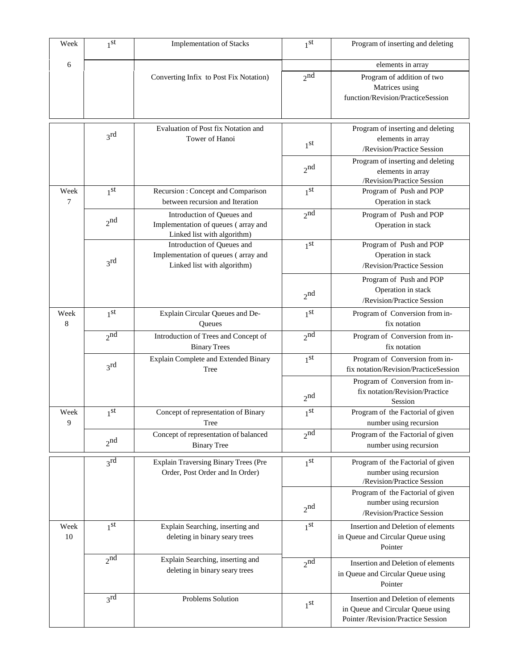| Week       | 1 <sup>st</sup> | <b>Implementation of Stacks</b>                                                                  | 1 <sup>st</sup> | Program of inserting and deleting                                                                                              |
|------------|-----------------|--------------------------------------------------------------------------------------------------|-----------------|--------------------------------------------------------------------------------------------------------------------------------|
| 6          |                 |                                                                                                  |                 | elements in array                                                                                                              |
|            |                 | Converting Infix to Post Fix Notation)                                                           | $2^{nd}$        | Program of addition of two<br>Matrices using<br>function/Revision/PracticeSession                                              |
|            |                 |                                                                                                  |                 |                                                                                                                                |
|            | $3^{\text{rd}}$ | Evaluation of Post fix Notation and<br>Tower of Hanoi                                            | 1 <sub>st</sub> | Program of inserting and deleting<br>elements in array<br>/Revision/Practice Session                                           |
|            |                 |                                                                                                  | 2 <sub>nd</sub> | Program of inserting and deleting<br>elements in array<br>/Revision/Practice Session                                           |
| Week<br>7  | 1 <sub>st</sub> | Recursion: Concept and Comparison<br>between recursion and Iteration                             | 1 <sup>st</sup> | Program of Push and POP<br>Operation in stack                                                                                  |
|            | 2 <sub>nd</sub> | Introduction of Queues and<br>Implementation of queues (array and<br>Linked list with algorithm) | 2 <sub>nd</sub> | Program of Push and POP<br>Operation in stack                                                                                  |
|            | $3^{\text{rd}}$ | Introduction of Queues and<br>Implementation of queues (array and<br>Linked list with algorithm) | 1 <sub>st</sub> | Program of Push and POP<br>Operation in stack<br>/Revision/Practice Session                                                    |
|            |                 |                                                                                                  | 2 <sub>nd</sub> | Program of Push and POP<br>Operation in stack<br>/Revision/Practice Session                                                    |
| Week<br>8  | 1 <sub>st</sub> | Explain Circular Queues and De-<br>Queues                                                        | 1 <sup>st</sup> | Program of Conversion from in-<br>fix notation                                                                                 |
|            | 2 <sub>nd</sub> | Introduction of Trees and Concept of<br><b>Binary Trees</b>                                      | 2 <sub>nd</sub> | Program of Conversion from in-<br>fix notation                                                                                 |
|            | 3 <sup>rd</sup> | Explain Complete and Extended Binary<br>Tree                                                     | 1 <sup>st</sup> | Program of Conversion from in-<br>fix notation/Revision/PracticeSession<br>Program of Conversion from in-                      |
|            |                 |                                                                                                  | 2 <sub>nd</sub> | fix notation/Revision/Practice<br>Session                                                                                      |
| Week<br>9  | 1 <sub>st</sub> | Concept of representation of Binary<br>Tree                                                      | 1 <sub>st</sub> | Program of the Factorial of given<br>number using recursion                                                                    |
|            | 2 <sub>nd</sub> | Concept of representation of balanced<br><b>Binary Tree</b>                                      | 2 <sub>nd</sub> | Program of the Factorial of given<br>number using recursion                                                                    |
|            | $3^{\text{rd}}$ | Explain Traversing Binary Trees (Pre<br>Order, Post Order and In Order)                          | 1 <sup>st</sup> | Program of the Factorial of given<br>number using recursion<br>/Revision/Practice Session<br>Program of the Factorial of given |
|            |                 |                                                                                                  | 2 <sub>nd</sub> | number using recursion<br>/Revision/Practice Session                                                                           |
| Week<br>10 | 1 <sup>st</sup> | Explain Searching, inserting and<br>deleting in binary seary trees                               | 1 <sup>st</sup> | Insertion and Deletion of elements<br>in Queue and Circular Queue using<br>Pointer                                             |
|            | $2^{nd}$        | Explain Searching, inserting and<br>deleting in binary seary trees                               | 2 <sub>nd</sub> | Insertion and Deletion of elements<br>in Queue and Circular Queue using<br>Pointer                                             |
|            | $3^{\text{rd}}$ | Problems Solution                                                                                | 1 <sup>st</sup> | Insertion and Deletion of elements<br>in Queue and Circular Queue using<br>Pointer /Revision/Practice Session                  |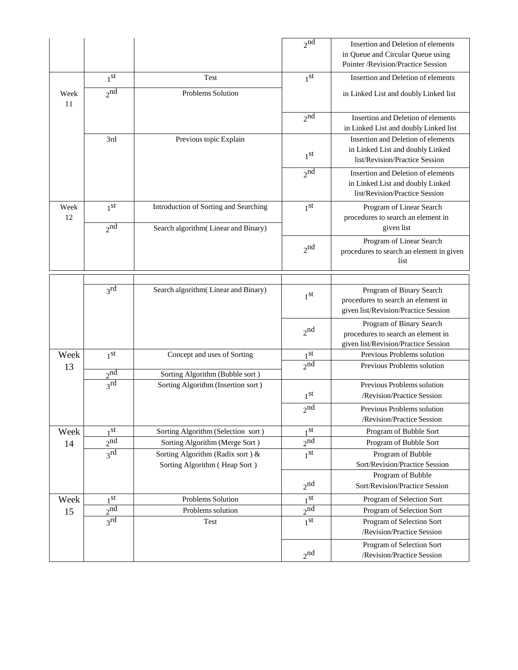|            |                            |                                                                   | $2^{n\overline{d}}$        | Insertion and Deletion of elements<br>in Queue and Circular Queue using<br>Pointer /Revision/Practice Session |
|------------|----------------------------|-------------------------------------------------------------------|----------------------------|---------------------------------------------------------------------------------------------------------------|
|            | 1 <sup>st</sup>            | Test                                                              | 1 <sub>st</sub>            | Insertion and Deletion of elements                                                                            |
| Week<br>11 | $2^{\overline{\text{nd}}}$ | <b>Problems Solution</b>                                          |                            | in Linked List and doubly Linked list                                                                         |
|            |                            |                                                                   | $2^{\overline{\text{nd}}}$ | Insertion and Deletion of elements<br>in Linked List and doubly Linked list                                   |
|            | 3rd                        | Previous topic Explain                                            |                            | Insertion and Deletion of elements                                                                            |
|            |                            |                                                                   | 1 <sup>st</sup>            | in Linked List and doubly Linked<br>list/Revision/Practice Session                                            |
|            |                            |                                                                   | 2 <sub>nd</sub>            | Insertion and Deletion of elements<br>in Linked List and doubly Linked<br>list/Revision/Practice Session      |
| Week       | 1 <sup>st</sup>            | Introduction of Sorting and Searching                             | 1 <sup>st</sup>            | Program of Linear Search                                                                                      |
| 12         | $2^{nd}$                   | Search algorithm (Linear and Binary)                              |                            | procedures to search an element in<br>given list                                                              |
|            |                            |                                                                   | 2 <sub>nd</sub>            | Program of Linear Search<br>procedures to search an element in given<br>list                                  |
|            |                            |                                                                   |                            |                                                                                                               |
|            | $3^{\text{rd}}$            | Search algorithm (Linear and Binary)                              | 1 <sup>st</sup>            | Program of Binary Search<br>procedures to search an element in<br>given list/Revision/Practice Session        |
|            |                            |                                                                   | 2 <sub>n</sub>             | Program of Binary Search<br>procedures to search an element in<br>given list/Revision/Practice Session        |
| Week       | 1 <sup>st</sup>            | Concept and uses of Sorting                                       | 1 <sup>st</sup>            | Previous Problems solution                                                                                    |
| 13         | 2 <sub>nd</sub>            | Sorting Algorithm (Bubble sort)                                   | 2 <sub>nd</sub>            | Previous Problems solution                                                                                    |
|            | 3 <sup>rd</sup>            | Sorting Algorithm (Insertion sort)                                |                            | Previous Problems solution                                                                                    |
|            |                            |                                                                   | 1 <sup>st</sup>            | /Revision/Practice Session                                                                                    |
|            |                            |                                                                   | 2 <sup>nd</sup>            | Previous Problems solution<br>/Revision/Practice Session                                                      |
| Week       | 1 <sub>st</sub>            | Sorting Algorithm (Selection sort)                                | 1 <sup>st</sup>            | Program of Bubble Sort                                                                                        |
| 14         | 2 <sub>nd</sub>            | Sorting Algorithm (Merge Sort)                                    | $2^{nd}$                   | Program of Bubble Sort                                                                                        |
|            | 3 <sup>rd</sup>            | Sorting Algorithm (Radix sort) &<br>Sorting Algorithm (Heap Sort) | 1 <sup>st</sup>            | Program of Bubble<br>Sort/Revision/Practice Session                                                           |
|            |                            |                                                                   | 2 <sub>nd</sub>            | Program of Bubble<br>Sort/Revision/Practice Session                                                           |
| Week       | 1 <sub>st</sub>            | Problems Solution                                                 | 1 <sub>st</sub>            | Program of Selection Sort                                                                                     |
| 15         | 2 <sup>nd</sup>            | Problems solution                                                 | 2 <sup>nd</sup>            | Program of Selection Sort                                                                                     |
|            | 3 <sup>rd</sup>            | Test                                                              | 1 <sup>st</sup>            | Program of Selection Sort<br>/Revision/Practice Session                                                       |
|            |                            |                                                                   | 2 <sup>nd</sup>            | Program of Selection Sort<br>/Revision/Practice Session                                                       |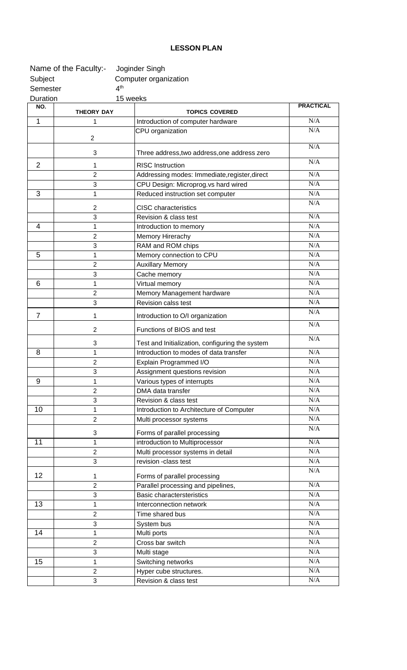## **LESSON PLAN**

|                 | Name of the Faculty:- | Joginder Singh                                  |                  |
|-----------------|-----------------------|-------------------------------------------------|------------------|
| Subject         |                       | Computer organization                           |                  |
| Semester        | 4 <sup>th</sup>       |                                                 |                  |
| <b>Duration</b> | 15 weeks              |                                                 |                  |
| NO.             | <b>THEORY DAY</b>     | <b>TOPICS COVERED</b>                           | <b>PRACTICAL</b> |
| 1               | 1                     | Introduction of computer hardware               | N/A              |
|                 |                       | CPU organization                                | N/A              |
|                 | $\overline{c}$        |                                                 | N/A              |
|                 | 3                     | Three address, two address, one address zero    |                  |
| 2               | 1                     | <b>RISC Instruction</b>                         | N/A              |
|                 | $\overline{2}$        | Addressing modes: Immediate, register, direct   | N/A              |
|                 | 3                     | CPU Design: Microprog.vs hard wired             | N/A              |
| 3               | 1                     | Reduced instruction set computer                | N/A              |
|                 | 2                     | <b>CISC</b> characteristics                     | N/A              |
|                 | 3                     | Revision & class test                           | N/A              |
| 4               | 1                     | Introduction to memory                          | N/A              |
|                 | $\overline{2}$        | Memory Hirerachy                                | N/A              |
|                 | 3                     | RAM and ROM chips                               | N/A              |
| 5               | 1                     | Memory connection to CPU                        | N/A              |
|                 | $\overline{2}$        | <b>Auxillary Memory</b>                         | N/A              |
|                 | 3                     | Cache memory                                    | N/A              |
| 6               | 1                     | Virtual memory                                  | N/A              |
|                 | $\overline{2}$        | Memory Management hardware                      | N/A              |
|                 | 3                     | Revision calss test                             | N/A              |
| 7               | 1                     | Introduction to O/I organization                | N/A              |
|                 | $\overline{2}$        | Functions of BIOS and test                      | N/A              |
|                 | 3                     | Test and Initialization, configuring the system | N/A              |
| 8               | 1                     | Introduction to modes of data transfer          | N/A              |
|                 | $\sqrt{2}$            | Explain Programmed I/O                          | $\rm N/A$        |
|                 | 3                     | Assignment questions revision                   | N/A              |
| 9               | 1                     | Various types of interrupts                     | N/A              |
|                 | $\overline{2}$        | DMA data transfer                               | N/A              |
|                 | 3                     | Revision & class test                           | N/A              |
| 10              | 1                     | Introduction to Architecture of Computer        | N/A              |
|                 | $\overline{2}$        | Multi processor systems                         | N/A              |
|                 | 3                     | Forms of parallel processing                    | N/A              |
| 11              | 1                     | introduction to Multiprocessor                  | N/A              |
|                 | $\overline{2}$        | Multi processor systems in detail               | N/A              |
|                 | 3                     | revision -class test                            | N/A              |
| 12              | 1                     | Forms of parallel processing                    | N/A              |
|                 | $\overline{2}$        | Parallel processing and pipelines,              | N/A              |
|                 | 3                     | <b>Basic charactersteristics</b>                | N/A              |
| 13              | 1                     | Interconnection network                         | N/A              |
|                 | $\overline{2}$        | Time shared bus                                 | N/A              |
|                 | 3                     | System bus                                      | N/A              |
| 14              | 1                     | Multi ports                                     | N/A              |
|                 | $\overline{c}$        | Cross bar switch                                | N/A              |
|                 | 3                     | Multi stage                                     | N/A              |
| 15              | 1                     | Switching networks                              | $\rm N/A$        |
|                 | $\overline{2}$        | Hyper cube structures.                          | $\rm N/A$        |
|                 | 3                     | Revision & class test                           | N/A              |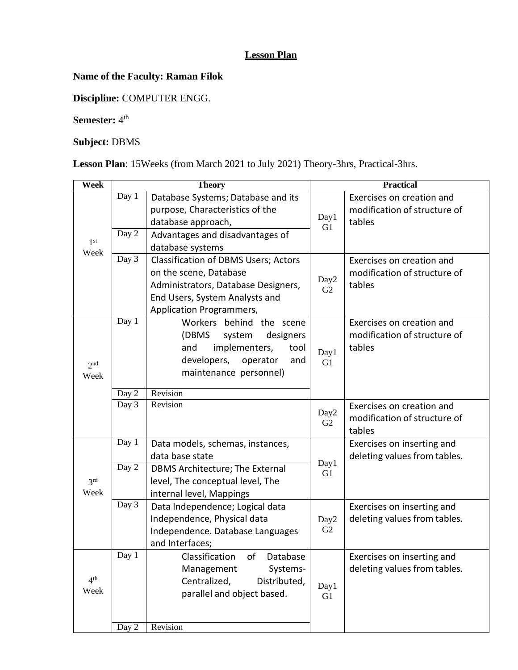### **Lesson Plan**

# **Name of the Faculty: Raman Filok**

**Discipline:** COMPUTER ENGG.

**Semester:**  $4^{\text{th}}$ 

# **Subject:** DBMS

**Lesson Plan**: 15Weeks (from March 2021 to July 2021) Theory-3hrs, Practical-3hrs.

| Week                    | <b>Theory</b>  |                                                                                                                                                                                                       | <b>Practical</b>       |                                                                     |
|-------------------------|----------------|-------------------------------------------------------------------------------------------------------------------------------------------------------------------------------------------------------|------------------------|---------------------------------------------------------------------|
| 1 <sup>st</sup>         | Day 1<br>Day 2 | Database Systems; Database and its<br>purpose, Characteristics of the<br>database approach,<br>Advantages and disadvantages of                                                                        | Day1<br>G1             | Exercises on creation and<br>modification of structure of<br>tables |
| Week                    | Day 3          | database systems<br><b>Classification of DBMS Users; Actors</b><br>on the scene, Database<br>Administrators, Database Designers,<br>End Users, System Analysts and<br><b>Application Programmers,</b> | Day2<br>G2             | Exercises on creation and<br>modification of structure of<br>tables |
| 2 <sup>nd</sup><br>Week | Day 1<br>Day 2 | Workers behind the scene<br>(DBMS<br>designers<br>system<br>implementers,<br>and<br>tool<br>developers,<br>operator<br>and<br>maintenance personnel)<br>Revision                                      | Day1<br>G1             | Exercises on creation and<br>modification of structure of<br>tables |
|                         | Day 3          | Revision                                                                                                                                                                                              | Day2<br>G2             | Exercises on creation and<br>modification of structure of<br>tables |
|                         | Day 1<br>Day 2 | Data models, schemas, instances,<br>data base state<br>DBMS Architecture; The External                                                                                                                | Day1<br>G1             | Exercises on inserting and<br>deleting values from tables.          |
| 3 <sup>rd</sup><br>Week |                | level, The conceptual level, The<br>internal level, Mappings                                                                                                                                          |                        |                                                                     |
|                         | Day 3          | Data Independence; Logical data<br>Independence, Physical data<br>Independence. Database Languages<br>and Interfaces;                                                                                 | Day2<br>G2             | Exercises on inserting and<br>deleting values from tables.          |
| 4 <sup>th</sup><br>Week | Day 1          | Classification<br>οf<br>Database<br>Management<br>Systems-<br>Centralized,<br>Distributed,<br>parallel and object based.                                                                              | Day1<br>G <sub>1</sub> | Exercises on inserting and<br>deleting values from tables.          |
|                         | Day 2          | Revision                                                                                                                                                                                              |                        |                                                                     |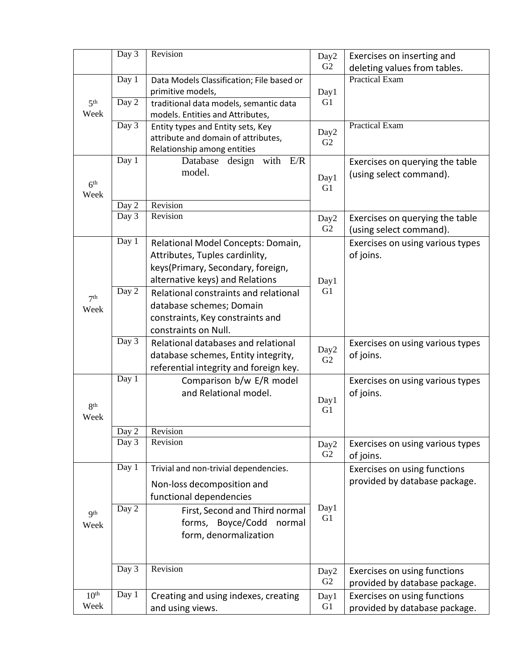|                         | Day 3          | Revision                                                                   | Day2                   | Exercises on inserting and                                    |
|-------------------------|----------------|----------------------------------------------------------------------------|------------------------|---------------------------------------------------------------|
|                         |                |                                                                            | G <sub>2</sub>         | deleting values from tables.                                  |
|                         | Day 1          | Data Models Classification; File based or<br>primitive models,             | Day1                   | <b>Practical Exam</b>                                         |
| 5 <sup>th</sup><br>Week | Day 2          | traditional data models, semantic data<br>models. Entities and Attributes, | G1                     |                                                               |
|                         | Day 3          | Entity types and Entity sets, Key<br>attribute and domain of attributes,   | Day2<br>G <sub>2</sub> | <b>Practical Exam</b>                                         |
|                         |                | Relationship among entities                                                |                        |                                                               |
| 6 <sup>th</sup>         | Day 1          | design with $E/R$<br>Database<br>model.                                    | Day1<br>G1             | Exercises on querying the table<br>(using select command).    |
| Week                    | Day 2          | Revision                                                                   |                        |                                                               |
|                         | Day 3          | Revision                                                                   | Day2<br>G <sub>2</sub> | Exercises on querying the table<br>(using select command).    |
|                         | Day 1          | Relational Model Concepts: Domain,                                         |                        | Exercises on using various types                              |
|                         |                | Attributes, Tuples cardinlity,                                             |                        | of joins.                                                     |
|                         |                | keys(Primary, Secondary, foreign,                                          |                        |                                                               |
|                         | Day 2          | alternative keys) and Relations                                            | Day1<br>G1             |                                                               |
| 7 <sup>th</sup>         |                | Relational constraints and relational<br>database schemes; Domain          |                        |                                                               |
| Week                    |                | constraints, Key constraints and                                           |                        |                                                               |
|                         |                | constraints on Null.                                                       |                        |                                                               |
|                         | Day 3          | Relational databases and relational                                        |                        | Exercises on using various types                              |
|                         |                | database schemes, Entity integrity,                                        | Day2<br>G2             | of joins.                                                     |
|                         |                | referential integrity and foreign key.                                     |                        |                                                               |
|                         | Day 1          | Comparison b/w E/R model                                                   |                        | Exercises on using various types                              |
|                         |                | and Relational model.                                                      | Day1                   | of joins.                                                     |
| 8 <sup>th</sup>         |                |                                                                            | G1                     |                                                               |
| Week                    |                |                                                                            |                        |                                                               |
|                         | Day 2<br>Day 3 | Revision<br>Revision                                                       |                        |                                                               |
|                         |                |                                                                            | Day2<br>G2             | Exercises on using various types<br>of joins.                 |
|                         | Day 1          | Trivial and non-trivial dependencies.                                      |                        | Exercises on using functions                                  |
|                         |                | Non-loss decomposition and                                                 |                        | provided by database package.                                 |
|                         |                | functional dependencies                                                    |                        |                                                               |
| Q <sup>th</sup>         | Day 2          | First, Second and Third normal                                             | Day1<br>G <sub>1</sub> |                                                               |
| Week                    |                | forms, Boyce/Codd<br>normal                                                |                        |                                                               |
|                         |                | form, denormalization                                                      |                        |                                                               |
|                         | Day 3          | Revision                                                                   |                        |                                                               |
|                         |                |                                                                            | Day2<br>G <sub>2</sub> | Exercises on using functions<br>provided by database package. |
| 10 <sup>th</sup>        | Day 1          | Creating and using indexes, creating                                       | Day1                   | Exercises on using functions                                  |
| Week                    |                | and using views.                                                           | G <sub>1</sub>         | provided by database package.                                 |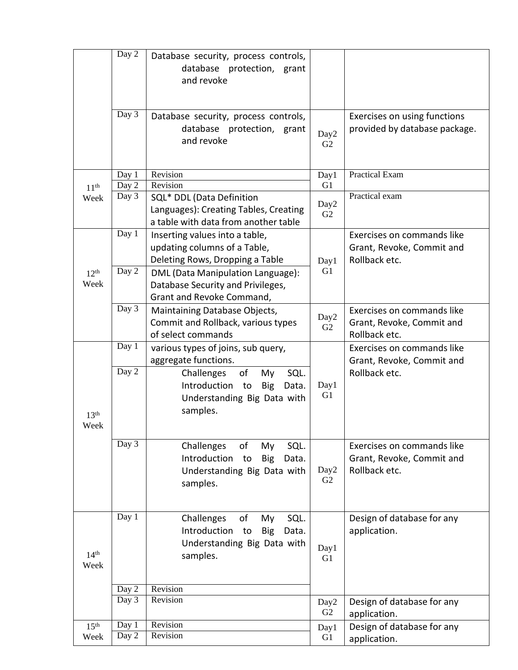|                          | Day 2              | Database security, process controls,<br>database protection, grant<br>and revoke                                       |                        |                                                                          |
|--------------------------|--------------------|------------------------------------------------------------------------------------------------------------------------|------------------------|--------------------------------------------------------------------------|
|                          | Day 3              | Database security, process controls,<br>database protection, grant<br>and revoke                                       | Day2<br>G <sub>2</sub> | Exercises on using functions<br>provided by database package.            |
|                          | Day 1              | Revision                                                                                                               | Day1                   | <b>Practical Exam</b>                                                    |
| 11 <sup>th</sup>         | Day 2              | Revision                                                                                                               | G <sub>1</sub>         |                                                                          |
| Week                     | Day 3              | SQL* DDL (Data Definition<br>Languages): Creating Tables, Creating<br>a table with data from another table             | Day <sub>2</sub><br>G2 | Practical exam                                                           |
|                          | Day 1              | Inserting values into a table,<br>updating columns of a Table,<br>Deleting Rows, Dropping a Table                      | Day1                   | Exercises on commands like<br>Grant, Revoke, Commit and<br>Rollback etc. |
| 12 <sup>th</sup><br>Week | Day 2              | DML (Data Manipulation Language):<br>Database Security and Privileges,<br>Grant and Revoke Command,                    | G1                     |                                                                          |
|                          | Day 3              | Maintaining Database Objects,<br>Commit and Rollback, various types<br>of select commands                              | Day2<br>G2             | Exercises on commands like<br>Grant, Revoke, Commit and<br>Rollback etc. |
|                          | Day 1              | various types of joins, sub query,<br>aggregate functions.                                                             |                        | Exercises on commands like<br>Grant, Revoke, Commit and                  |
| 13 <sup>th</sup><br>Week | $\overline{Day 2}$ | of<br>SQL.<br>Challenges<br>My<br>Introduction<br><b>Big</b><br>to<br>Data.<br>Understanding Big Data with<br>samples. | Day1<br>G <sub>1</sub> | Rollback etc.                                                            |
|                          | Day $\overline{3}$ | Challenges<br>of<br>My<br>SQL.<br>Introduction<br>to<br><b>Big</b><br>Data.<br>Understanding Big Data with<br>samples. | Day2<br>G <sub>2</sub> | Exercises on commands like<br>Grant, Revoke, Commit and<br>Rollback etc. |
| 14 <sup>th</sup><br>Week | Day 1              | Challenges<br>of<br>SQL.<br>My<br>Introduction<br><b>Big</b><br>Data.<br>to<br>Understanding Big Data with<br>samples. | Day1<br>G <sub>1</sub> | Design of database for any<br>application.                               |
|                          | Day 2              | Revision                                                                                                               |                        |                                                                          |
|                          | Day $\overline{3}$ | Revision                                                                                                               | Day2<br>G2             | Design of database for any<br>application.                               |
| 15 <sup>th</sup><br>Week | Day 1<br>Day 2     | Revision<br>Revision                                                                                                   | Day1                   | Design of database for any                                               |
|                          |                    |                                                                                                                        | G <sub>1</sub>         | application.                                                             |